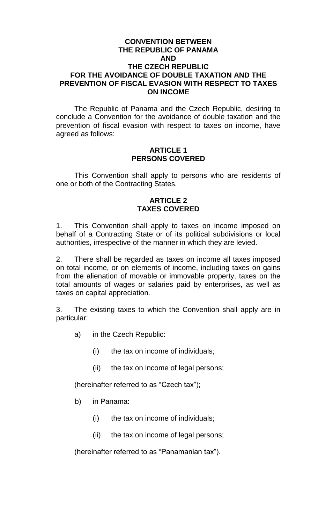# **CONVENTION BETWEEN THE REPUBLIC OF PANAMA AND THE CZECH REPUBLIC FOR THE AVOIDANCE OF DOUBLE TAXATION AND THE PREVENTION OF FISCAL EVASION WITH RESPECT TO TAXES ON INCOME**

The Republic of Panama and the Czech Republic, desiring to conclude a Convention for the avoidance of double taxation and the prevention of fiscal evasion with respect to taxes on income, have agreed as follows:

## **ARTICLE 1 PERSONS COVERED**

This Convention shall apply to persons who are residents of one or both of the Contracting States.

#### **ARTICLE 2 TAXES COVERED**

1. This Convention shall apply to taxes on income imposed on behalf of a Contracting State or of its political subdivisions or local authorities, irrespective of the manner in which they are levied.

2. There shall be regarded as taxes on income all taxes imposed on total income, or on elements of income, including taxes on gains from the alienation of movable or immovable property, taxes on the total amounts of wages or salaries paid by enterprises, as well as taxes on capital appreciation.

3. The existing taxes to which the Convention shall apply are in particular:

- a) in the Czech Republic:
	- (i) the tax on income of individuals;
	- (ii) the tax on income of legal persons;

(hereinafter referred to as "Czech tax");

- b) in Panama:
	- (i) the tax on income of individuals;
	- (ii) the tax on income of legal persons;

(hereinafter referred to as "Panamanian tax").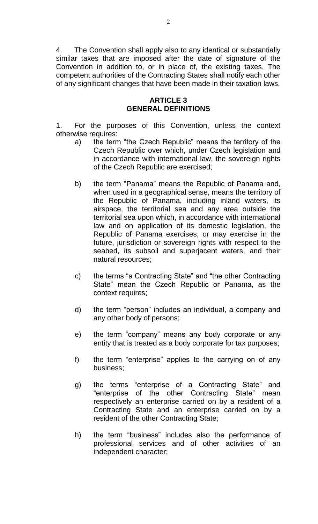4. The Convention shall apply also to any identical or substantially similar taxes that are imposed after the date of signature of the Convention in addition to, or in place of, the existing taxes. The competent authorities of the Contracting States shall notify each other of any significant changes that have been made in their taxation laws.

## **ARTICLE 3 GENERAL DEFINITIONS**

1. For the purposes of this Convention, unless the context otherwise requires:

- a) the term "the Czech Republic" means the territory of the Czech Republic over which, under Czech legislation and in accordance with international law, the sovereign rights of the Czech Republic are exercised;
- b) the term "Panama" means the Republic of Panama and, when used in a geographical sense, means the territory of the Republic of Panama, including inland waters, its airspace, the territorial sea and any area outside the territorial sea upon which, in accordance with international law and on application of its domestic legislation, the Republic of Panama exercises, or may exercise in the future, jurisdiction or sovereign rights with respect to the seabed, its subsoil and superjacent waters, and their natural resources;
- c) the terms "a Contracting State" and "the other Contracting State" mean the Czech Republic or Panama, as the context requires;
- d) the term "person" includes an individual, a company and any other body of persons;
- e) the term "company" means any body corporate or any entity that is treated as a body corporate for tax purposes;
- f) the term "enterprise" applies to the carrying on of any business;
- g) the terms "enterprise of a Contracting State" and "enterprise of the other Contracting State" mean respectively an enterprise carried on by a resident of a Contracting State and an enterprise carried on by a resident of the other Contracting State;
- h) the term "business" includes also the performance of professional services and of other activities of an independent character;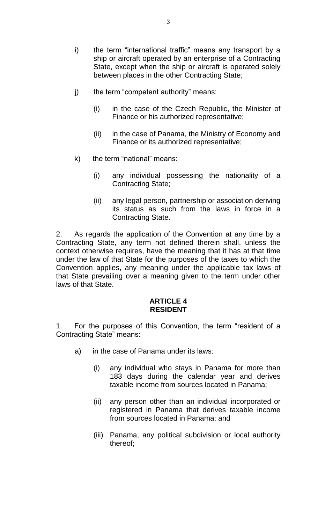- i) the term "international traffic" means any transport by a ship or aircraft operated by an enterprise of a Contracting State, except when the ship or aircraft is operated solely between places in the other Contracting State;
- j) the term "competent authority" means:
	- (i) in the case of the Czech Republic, the Minister of Finance or his authorized representative;
	- (ii) in the case of Panama, the Ministry of Economy and Finance or its authorized representative;
- k) the term "national" means:
	- (i) any individual possessing the nationality of a Contracting State;
	- (ii) any legal person, partnership or association deriving its status as such from the laws in force in a Contracting State.

2. As regards the application of the Convention at any time by a Contracting State, any term not defined therein shall, unless the context otherwise requires, have the meaning that it has at that time under the law of that State for the purposes of the taxes to which the Convention applies, any meaning under the applicable tax laws of that State prevailing over a meaning given to the term under other laws of that State.

#### **ARTICLE 4 RESIDENT**

1. For the purposes of this Convention, the term "resident of a Contracting State" means:

- a) in the case of Panama under its laws:
	- (i) any individual who stays in Panama for more than 183 days during the calendar year and derives taxable income from sources located in Panama;
	- (ii) any person other than an individual incorporated or registered in Panama that derives taxable income from sources located in Panama; and
	- (iii) Panama, any political subdivision or local authority thereof;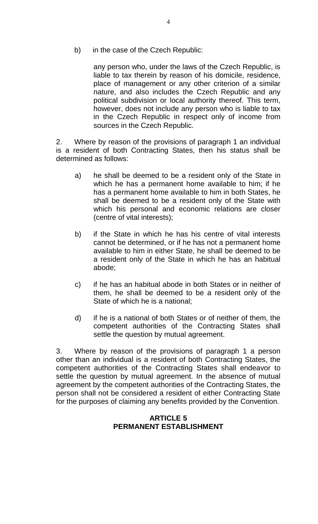b) in the case of the Czech Republic:

any person who, under the laws of the Czech Republic, is liable to tax therein by reason of his domicile, residence, place of management or any other criterion of a similar nature, and also includes the Czech Republic and any political subdivision or local authority thereof. This term, however, does not include any person who is liable to tax in the Czech Republic in respect only of income from sources in the Czech Republic.

2. Where by reason of the provisions of paragraph 1 an individual is a resident of both Contracting States, then his status shall be determined as follows:

- a) he shall be deemed to be a resident only of the State in which he has a permanent home available to him; if he has a permanent home available to him in both States, he shall be deemed to be a resident only of the State with which his personal and economic relations are closer (centre of vital interests);
- b) if the State in which he has his centre of vital interests cannot be determined, or if he has not a permanent home available to him in either State, he shall be deemed to be a resident only of the State in which he has an habitual abode;
- c) if he has an habitual abode in both States or in neither of them, he shall be deemed to be a resident only of the State of which he is a national;
- d) if he is a national of both States or of neither of them, the competent authorities of the Contracting States shall settle the question by mutual agreement.

3. Where by reason of the provisions of paragraph 1 a person other than an individual is a resident of both Contracting States, the competent authorities of the Contracting States shall endeavor to settle the question by mutual agreement. In the absence of mutual agreement by the competent authorities of the Contracting States, the person shall not be considered a resident of either Contracting State for the purposes of claiming any benefits provided by the Convention.

# **ARTICLE 5 PERMANENT ESTABLISHMENT**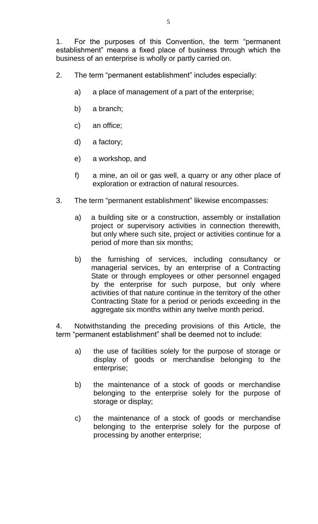1. For the purposes of this Convention, the term "permanent establishment" means a fixed place of business through which the business of an enterprise is wholly or partly carried on.

2. The term "permanent establishment" includes especially:

- a) a place of management of a part of the enterprise;
- b) a branch;
- c) an office;
- d) a factory;
- e) a workshop, and
- f) a mine, an oil or gas well, a quarry or any other place of exploration or extraction of natural resources.
- 3. The term "permanent establishment" likewise encompasses:
	- a) a building site or a construction, assembly or installation project or supervisory activities in connection therewith, but only where such site, project or activities continue for a period of more than six months;
	- b) the furnishing of services, including consultancy or managerial services, by an enterprise of a Contracting State or through employees or other personnel engaged by the enterprise for such purpose, but only where activities of that nature continue in the territory of the other Contracting State for a period or periods exceeding in the aggregate six months within any twelve month period.

4. Notwithstanding the preceding provisions of this Article, the term "permanent establishment" shall be deemed not to include:

- a) the use of facilities solely for the purpose of storage or display of goods or merchandise belonging to the enterprise;
- b) the maintenance of a stock of goods or merchandise belonging to the enterprise solely for the purpose of storage or display;
- c) the maintenance of a stock of goods or merchandise belonging to the enterprise solely for the purpose of processing by another enterprise;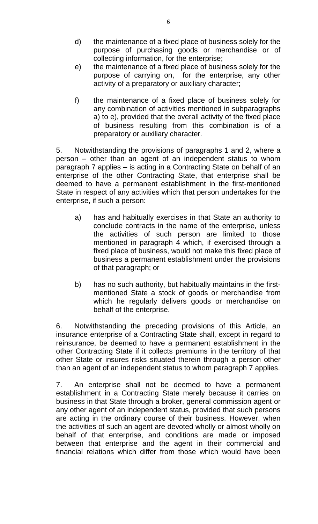- d) the maintenance of a fixed place of business solely for the purpose of purchasing goods or merchandise or of collecting information, for the enterprise;
- e) the maintenance of a fixed place of business solely for the purpose of carrying on, for the enterprise, any other activity of a preparatory or auxiliary character;
- f) the maintenance of a fixed place of business solely for any combination of activities mentioned in subparagraphs a) to e), provided that the overall activity of the fixed place of business resulting from this combination is of a preparatory or auxiliary character.

5. Notwithstanding the provisions of paragraphs 1 and 2, where a person – other than an agent of an independent status to whom paragraph 7 applies – is acting in a Contracting State on behalf of an enterprise of the other Contracting State, that enterprise shall be deemed to have a permanent establishment in the first-mentioned State in respect of any activities which that person undertakes for the enterprise, if such a person:

- a) has and habitually exercises in that State an authority to conclude contracts in the name of the enterprise, unless the activities of such person are limited to those mentioned in paragraph 4 which, if exercised through a fixed place of business, would not make this fixed place of business a permanent establishment under the provisions of that paragraph; or
- b) has no such authority, but habitually maintains in the firstmentioned State a stock of goods or merchandise from which he regularly delivers goods or merchandise on behalf of the enterprise.

6. Notwithstanding the preceding provisions of this Article, an insurance enterprise of a Contracting State shall, except in regard to reinsurance, be deemed to have a permanent establishment in the other Contracting State if it collects premiums in the territory of that other State or insures risks situated therein through a person other than an agent of an independent status to whom paragraph 7 applies.

7. An enterprise shall not be deemed to have a permanent establishment in a Contracting State merely because it carries on business in that State through a broker, general commission agent or any other agent of an independent status, provided that such persons are acting in the ordinary course of their business. However, when the activities of such an agent are devoted wholly or almost wholly on behalf of that enterprise, and conditions are made or imposed between that enterprise and the agent in their commercial and financial relations which differ from those which would have been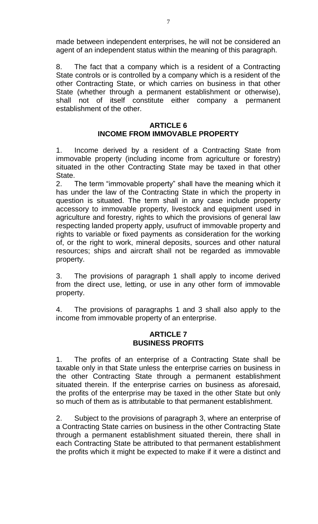made between independent enterprises, he will not be considered an agent of an independent status within the meaning of this paragraph.

8. The fact that a company which is a resident of a Contracting State controls or is controlled by a company which is a resident of the other Contracting State, or which carries on business in that other State (whether through a permanent establishment or otherwise), shall not of itself constitute either company a permanent establishment of the other.

# **ARTICLE 6 INCOME FROM IMMOVABLE PROPERTY**

1. Income derived by a resident of a Contracting State from immovable property (including income from agriculture or forestry) situated in the other Contracting State may be taxed in that other State.

2. The term "immovable property" shall have the meaning which it has under the law of the Contracting State in which the property in question is situated. The term shall in any case include property accessory to immovable property, livestock and equipment used in agriculture and forestry, rights to which the provisions of general law respecting landed property apply, usufruct of immovable property and rights to variable or fixed payments as consideration for the working of, or the right to work, mineral deposits, sources and other natural resources; ships and aircraft shall not be regarded as immovable property.

3. The provisions of paragraph 1 shall apply to income derived from the direct use, letting, or use in any other form of immovable property.

4. The provisions of paragraphs 1 and 3 shall also apply to the income from immovable property of an enterprise.

# **ARTICLE 7 BUSINESS PROFITS**

1. The profits of an enterprise of a Contracting State shall be taxable only in that State unless the enterprise carries on business in the other Contracting State through a permanent establishment situated therein. If the enterprise carries on business as aforesaid, the profits of the enterprise may be taxed in the other State but only so much of them as is attributable to that permanent establishment.

2. Subject to the provisions of paragraph 3, where an enterprise of a Contracting State carries on business in the other Contracting State through a permanent establishment situated therein, there shall in each Contracting State be attributed to that permanent establishment the profits which it might be expected to make if it were a distinct and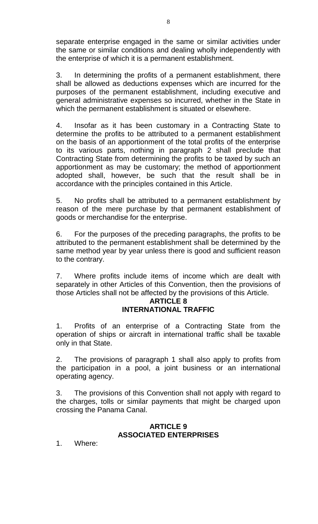separate enterprise engaged in the same or similar activities under the same or similar conditions and dealing wholly independently with the enterprise of which it is a permanent establishment.

3. In determining the profits of a permanent establishment, there shall be allowed as deductions expenses which are incurred for the purposes of the permanent establishment, including executive and general administrative expenses so incurred, whether in the State in which the permanent establishment is situated or elsewhere.

4. Insofar as it has been customary in a Contracting State to determine the profits to be attributed to a permanent establishment on the basis of an apportionment of the total profits of the enterprise to its various parts, nothing in paragraph 2 shall preclude that Contracting State from determining the profits to be taxed by such an apportionment as may be customary; the method of apportionment adopted shall, however, be such that the result shall be in accordance with the principles contained in this Article.

5. No profits shall be attributed to a permanent establishment by reason of the mere purchase by that permanent establishment of goods or merchandise for the enterprise.

6. For the purposes of the preceding paragraphs, the profits to be attributed to the permanent establishment shall be determined by the same method year by year unless there is good and sufficient reason to the contrary.

7. Where profits include items of income which are dealt with separately in other Articles of this Convention, then the provisions of those Articles shall not be affected by the provisions of this Article.

# **ARTICLE 8 INTERNATIONAL TRAFFIC**

1. Profits of an enterprise of a Contracting State from the operation of ships or aircraft in international traffic shall be taxable only in that State.

2. The provisions of paragraph 1 shall also apply to profits from the participation in a pool, a joint business or an international operating agency.

3. The provisions of this Convention shall not apply with regard to the charges, tolls or similar payments that might be charged upon crossing the Panama Canal.

# **ARTICLE 9 ASSOCIATED ENTERPRISES**

1. Where: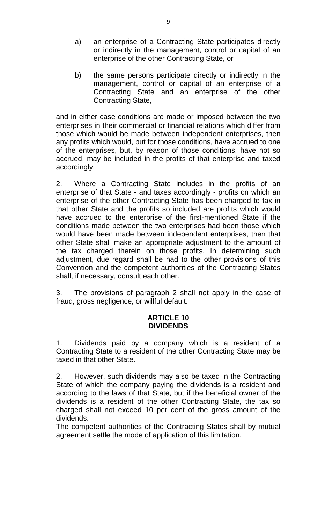- a) an enterprise of a Contracting State participates directly or indirectly in the management, control or capital of an enterprise of the other Contracting State, or
- b) the same persons participate directly or indirectly in the management, control or capital of an enterprise of a Contracting State and an enterprise of the other Contracting State,

and in either case conditions are made or imposed between the two enterprises in their commercial or financial relations which differ from those which would be made between independent enterprises, then any profits which would, but for those conditions, have accrued to one of the enterprises, but, by reason of those conditions, have not so accrued, may be included in the profits of that enterprise and taxed accordingly.

2. Where a Contracting State includes in the profits of an enterprise of that State - and taxes accordingly - profits on which an enterprise of the other Contracting State has been charged to tax in that other State and the profits so included are profits which would have accrued to the enterprise of the first-mentioned State if the conditions made between the two enterprises had been those which would have been made between independent enterprises, then that other State shall make an appropriate adjustment to the amount of the tax charged therein on those profits. In determining such adjustment, due regard shall be had to the other provisions of this Convention and the competent authorities of the Contracting States shall, if necessary, consult each other.

3. The provisions of paragraph 2 shall not apply in the case of fraud, gross negligence, or willful default.

# **ARTICLE 10 DIVIDENDS**

1. Dividends paid by a company which is a resident of a Contracting State to a resident of the other Contracting State may be taxed in that other State.

2. However, such dividends may also be taxed in the Contracting State of which the company paying the dividends is a resident and according to the laws of that State, but if the beneficial owner of the dividends is a resident of the other Contracting State, the tax so charged shall not exceed 10 per cent of the gross amount of the dividends.

The competent authorities of the Contracting States shall by mutual agreement settle the mode of application of this limitation.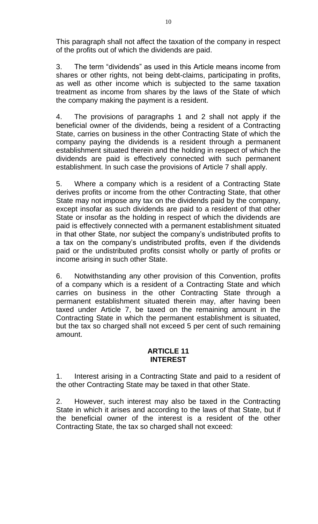This paragraph shall not affect the taxation of the company in respect of the profits out of which the dividends are paid.

3. The term "dividends" as used in this Article means income from shares or other rights, not being debt-claims, participating in profits, as well as other income which is subjected to the same taxation treatment as income from shares by the laws of the State of which the company making the payment is a resident.

4. The provisions of paragraphs 1 and 2 shall not apply if the beneficial owner of the dividends, being a resident of a Contracting State, carries on business in the other Contracting State of which the company paying the dividends is a resident through a permanent establishment situated therein and the holding in respect of which the dividends are paid is effectively connected with such permanent establishment. In such case the provisions of Article 7 shall apply.

5. Where a company which is a resident of a Contracting State derives profits or income from the other Contracting State, that other State may not impose any tax on the dividends paid by the company, except insofar as such dividends are paid to a resident of that other State or insofar as the holding in respect of which the dividends are paid is effectively connected with a permanent establishment situated in that other State, nor subject the company's undistributed profits to a tax on the company's undistributed profits, even if the dividends paid or the undistributed profits consist wholly or partly of profits or income arising in such other State.

6. Notwithstanding any other provision of this Convention, profits of a company which is a resident of a Contracting State and which carries on business in the other Contracting State through a permanent establishment situated therein may, after having been taxed under Article 7, be taxed on the remaining amount in the Contracting State in which the permanent establishment is situated, but the tax so charged shall not exceed 5 per cent of such remaining amount.

# **ARTICLE 11 INTEREST**

1. Interest arising in a Contracting State and paid to a resident of the other Contracting State may be taxed in that other State.

2. However, such interest may also be taxed in the Contracting State in which it arises and according to the laws of that State, but if the beneficial owner of the interest is a resident of the other Contracting State, the tax so charged shall not exceed: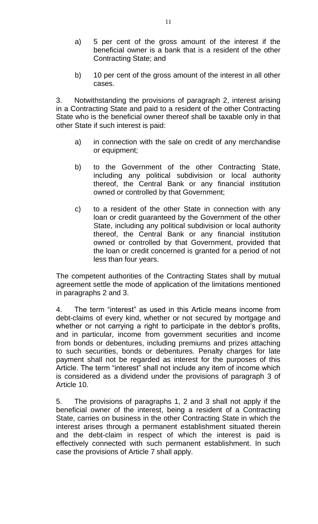- a) 5 per cent of the gross amount of the interest if the beneficial owner is a bank that is a resident of the other Contracting State; and
- b) 10 per cent of the gross amount of the interest in all other cases.

3. Notwithstanding the provisions of paragraph 2, interest arising in a Contracting State and paid to a resident of the other Contracting State who is the beneficial owner thereof shall be taxable only in that other State if such interest is paid:

- a) in connection with the sale on credit of any merchandise or equipment;
- b) to the Government of the other Contracting State, including any political subdivision or local authority thereof, the Central Bank or any financial institution owned or controlled by that Government;
- c) to a resident of the other State in connection with any loan or credit guaranteed by the Government of the other State, including any political subdivision or local authority thereof, the Central Bank or any financial institution owned or controlled by that Government, provided that the loan or credit concerned is granted for a period of not less than four years.

The competent authorities of the Contracting States shall by mutual agreement settle the mode of application of the limitations mentioned in paragraphs 2 and 3.

4. The term "interest" as used in this Article means income from debt-claims of every kind, whether or not secured by mortgage and whether or not carrying a right to participate in the debtor's profits, and in particular, income from government securities and income from bonds or debentures, including premiums and prizes attaching to such securities, bonds or debentures. Penalty charges for late payment shall not be regarded as interest for the purposes of this Article. The term "interest" shall not include any item of income which is considered as a dividend under the provisions of paragraph 3 of Article 10.

5. The provisions of paragraphs 1, 2 and 3 shall not apply if the beneficial owner of the interest, being a resident of a Contracting State, carries on business in the other Contracting State in which the interest arises through a permanent establishment situated therein and the debt-claim in respect of which the interest is paid is effectively connected with such permanent establishment. In such case the provisions of Article 7 shall apply.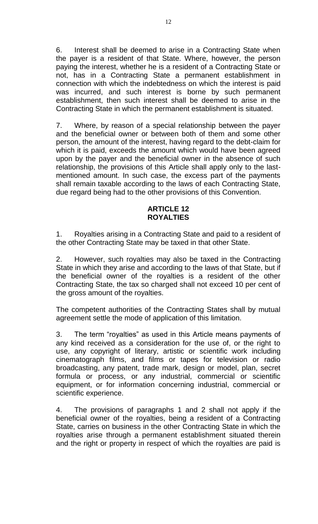6. Interest shall be deemed to arise in a Contracting State when the payer is a resident of that State. Where, however, the person paying the interest, whether he is a resident of a Contracting State or not, has in a Contracting State a permanent establishment in connection with which the indebtedness on which the interest is paid was incurred, and such interest is borne by such permanent establishment, then such interest shall be deemed to arise in the Contracting State in which the permanent establishment is situated.

7. Where, by reason of a special relationship between the payer and the beneficial owner or between both of them and some other person, the amount of the interest, having regard to the debt-claim for which it is paid, exceeds the amount which would have been agreed upon by the payer and the beneficial owner in the absence of such relationship, the provisions of this Article shall apply only to the lastmentioned amount. In such case, the excess part of the payments shall remain taxable according to the laws of each Contracting State, due regard being had to the other provisions of this Convention.

## **ARTICLE 12 ROYALTIES**

1. Royalties arising in a Contracting State and paid to a resident of the other Contracting State may be taxed in that other State.

2. However, such royalties may also be taxed in the Contracting State in which they arise and according to the laws of that State, but if the beneficial owner of the royalties is a resident of the other Contracting State, the tax so charged shall not exceed 10 per cent of the gross amount of the royalties.

The competent authorities of the Contracting States shall by mutual agreement settle the mode of application of this limitation.

3. The term "royalties" as used in this Article means payments of any kind received as a consideration for the use of, or the right to use, any copyright of literary, artistic or scientific work including cinematograph films, and films or tapes for television or radio broadcasting, any patent, trade mark, design or model, plan, secret formula or process, or any industrial, commercial or scientific equipment, or for information concerning industrial, commercial or scientific experience.

4. The provisions of paragraphs 1 and 2 shall not apply if the beneficial owner of the royalties, being a resident of a Contracting State, carries on business in the other Contracting State in which the royalties arise through a permanent establishment situated therein and the right or property in respect of which the royalties are paid is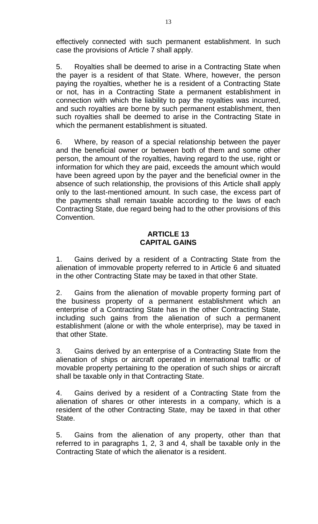effectively connected with such permanent establishment. In such case the provisions of Article 7 shall apply.

5. Royalties shall be deemed to arise in a Contracting State when the payer is a resident of that State. Where, however, the person paying the royalties, whether he is a resident of a Contracting State or not, has in a Contracting State a permanent establishment in connection with which the liability to pay the royalties was incurred, and such royalties are borne by such permanent establishment, then such royalties shall be deemed to arise in the Contracting State in which the permanent establishment is situated.

6. Where, by reason of a special relationship between the payer and the beneficial owner or between both of them and some other person, the amount of the royalties, having regard to the use, right or information for which they are paid, exceeds the amount which would have been agreed upon by the payer and the beneficial owner in the absence of such relationship, the provisions of this Article shall apply only to the last-mentioned amount. In such case, the excess part of the payments shall remain taxable according to the laws of each Contracting State, due regard being had to the other provisions of this Convention.

# **ARTICLE 13 CAPITAL GAINS**

1. Gains derived by a resident of a Contracting State from the alienation of immovable property referred to in Article 6 and situated in the other Contracting State may be taxed in that other State.

2. Gains from the alienation of movable property forming part of the business property of a permanent establishment which an enterprise of a Contracting State has in the other Contracting State, including such gains from the alienation of such a permanent establishment (alone or with the whole enterprise), may be taxed in that other State.

3. Gains derived by an enterprise of a Contracting State from the alienation of ships or aircraft operated in international traffic or of movable property pertaining to the operation of such ships or aircraft shall be taxable only in that Contracting State.

4. Gains derived by a resident of a Contracting State from the alienation of shares or other interests in a company, which is a resident of the other Contracting State, may be taxed in that other State.

5. Gains from the alienation of any property, other than that referred to in paragraphs 1, 2, 3 and 4, shall be taxable only in the Contracting State of which the alienator is a resident.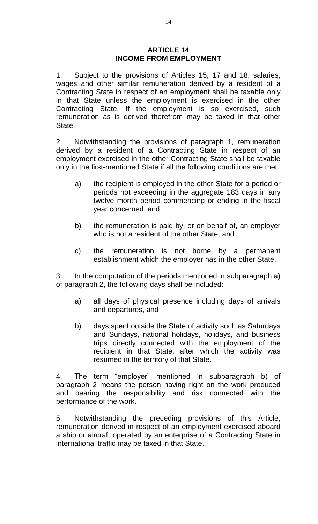#### **ARTICLE 14 INCOME FROM EMPLOYMENT**

1. Subject to the provisions of Articles 15, 17 and 18, salaries, wages and other similar remuneration derived by a resident of a Contracting State in respect of an employment shall be taxable only in that State unless the employment is exercised in the other Contracting State. If the employment is so exercised, such remuneration as is derived therefrom may be taxed in that other State.

2. Notwithstanding the provisions of paragraph 1, remuneration derived by a resident of a Contracting State in respect of an employment exercised in the other Contracting State shall be taxable only in the first-mentioned State if all the following conditions are met:

- a) the recipient is employed in the other State for a period or periods not exceeding in the aggregate 183 days in any twelve month period commencing or ending in the fiscal year concerned, and
- b) the remuneration is paid by, or on behalf of, an employer who is not a resident of the other State, and
- c) the remuneration is not borne by a permanent establishment which the employer has in the other State.

3. In the computation of the periods mentioned in subparagraph a) of paragraph 2, the following days shall be included:

- a) all days of physical presence including days of arrivals and departures, and
- b) days spent outside the State of activity such as Saturdays and Sundays, national holidays, holidays, and business trips directly connected with the employment of the recipient in that State, after which the activity was resumed in the territory of that State.

4. The term "employer" mentioned in subparagraph b) of paragraph 2 means the person having right on the work produced and bearing the responsibility and risk connected with the performance of the work.

5. Notwithstanding the preceding provisions of this Article, remuneration derived in respect of an employment exercised aboard a ship or aircraft operated by an enterprise of a Contracting State in international traffic may be taxed in that State.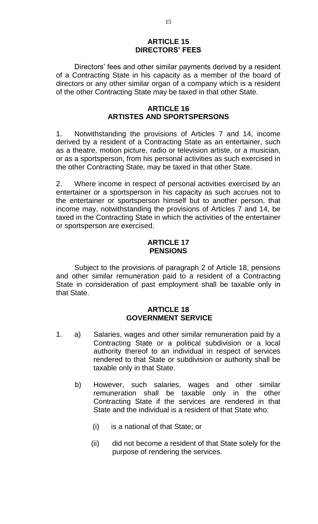# **ARTICLE 15 DIRECTORS' FEES**

Directors' fees and other similar payments derived by a resident of a Contracting State in his capacity as a member of the board of directors or any other similar organ of a company which is a resident of the other Contracting State may be taxed in that other State.

#### **ARTICLE 16 ARTISTES AND SPORTSPERSONS**

1. Notwithstanding the provisions of Articles 7 and 14, income derived by a resident of a Contracting State as an entertainer, such as a theatre, motion picture, radio or television artiste, or a musician, or as a sportsperson, from his personal activities as such exercised in the other Contracting State, may be taxed in that other State.

2. Where income in respect of personal activities exercised by an entertainer or a sportsperson in his capacity as such accrues not to the entertainer or sportsperson himself but to another person, that income may, notwithstanding the provisions of Articles 7 and 14, be taxed in the Contracting State in which the activities of the entertainer or sportsperson are exercised.

## **ARTICLE 17 PENSIONS**

Subject to the provisions of paragraph 2 of Article 18, pensions and other similar remuneration paid to a resident of a Contracting State in consideration of past employment shall be taxable only in that State.

# **ARTICLE 18 GOVERNMENT SERVICE**

- 1. a) Salaries, wages and other similar remuneration paid by a Contracting State or a political subdivision or a local authority thereof to an individual in respect of services rendered to that State or subdivision or authority shall be taxable only in that State.
	- b) However, such salaries, wages and other similar remuneration shall be taxable only in the other Contracting State if the services are rendered in that State and the individual is a resident of that State who:
		- (i) is a national of that State; or
		- (ii) did not become a resident of that State solely for the purpose of rendering the services.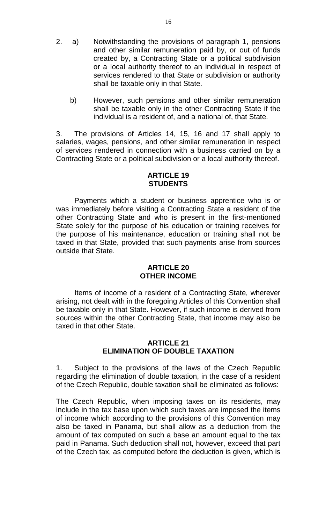- 2. a) Notwithstanding the provisions of paragraph 1, pensions and other similar remuneration paid by, or out of funds created by, a Contracting State or a political subdivision or a local authority thereof to an individual in respect of services rendered to that State or subdivision or authority shall be taxable only in that State.
	- b) However, such pensions and other similar remuneration shall be taxable only in the other Contracting State if the individual is a resident of, and a national of, that State.

3. The provisions of Articles 14, 15, 16 and 17 shall apply to salaries, wages, pensions, and other similar remuneration in respect of services rendered in connection with a business carried on by a Contracting State or a political subdivision or a local authority thereof.

#### **ARTICLE 19 STUDENTS**

Payments which a student or business apprentice who is or was immediately before visiting a Contracting State a resident of the other Contracting State and who is present in the first-mentioned State solely for the purpose of his education or training receives for the purpose of his maintenance, education or training shall not be taxed in that State, provided that such payments arise from sources outside that State.

# **ARTICLE 20 OTHER INCOME**

Items of income of a resident of a Contracting State, wherever arising, not dealt with in the foregoing Articles of this Convention shall be taxable only in that State. However, if such income is derived from sources within the other Contracting State, that income may also be taxed in that other State.

# **ARTICLE 21 ELIMINATION OF DOUBLE TAXATION**

1. Subject to the provisions of the laws of the Czech Republic regarding the elimination of double taxation, in the case of a resident of the Czech Republic, double taxation shall be eliminated as follows:

The Czech Republic, when imposing taxes on its residents, may include in the tax base upon which such taxes are imposed the items of income which according to the provisions of this Convention may also be taxed in Panama, but shall allow as a deduction from the amount of tax computed on such a base an amount equal to the tax paid in Panama. Such deduction shall not, however, exceed that part of the Czech tax, as computed before the deduction is given, which is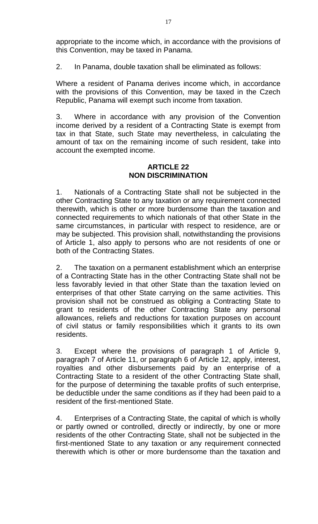appropriate to the income which, in accordance with the provisions of this Convention, may be taxed in Panama.

2. In Panama, double taxation shall be eliminated as follows:

Where a resident of Panama derives income which, in accordance with the provisions of this Convention, may be taxed in the Czech Republic, Panama will exempt such income from taxation.

3. Where in accordance with any provision of the Convention income derived by a resident of a Contracting State is exempt from tax in that State, such State may nevertheless, in calculating the amount of tax on the remaining income of such resident, take into account the exempted income.

# **ARTICLE 22 NON DISCRIMINATION**

1. Nationals of a Contracting State shall not be subjected in the other Contracting State to any taxation or any requirement connected therewith, which is other or more burdensome than the taxation and connected requirements to which nationals of that other State in the same circumstances, in particular with respect to residence, are or may be subjected. This provision shall, notwithstanding the provisions of Article 1, also apply to persons who are not residents of one or both of the Contracting States.

2. The taxation on a permanent establishment which an enterprise of a Contracting State has in the other Contracting State shall not be less favorably levied in that other State than the taxation levied on enterprises of that other State carrying on the same activities. This provision shall not be construed as obliging a Contracting State to grant to residents of the other Contracting State any personal allowances, reliefs and reductions for taxation purposes on account of civil status or family responsibilities which it grants to its own residents.

3. Except where the provisions of paragraph 1 of Article 9, paragraph 7 of Article 11, or paragraph 6 of Article 12, apply, interest, royalties and other disbursements paid by an enterprise of a Contracting State to a resident of the other Contracting State shall, for the purpose of determining the taxable profits of such enterprise, be deductible under the same conditions as if they had been paid to a resident of the first-mentioned State.

4. Enterprises of a Contracting State, the capital of which is wholly or partly owned or controlled, directly or indirectly, by one or more residents of the other Contracting State, shall not be subjected in the first-mentioned State to any taxation or any requirement connected therewith which is other or more burdensome than the taxation and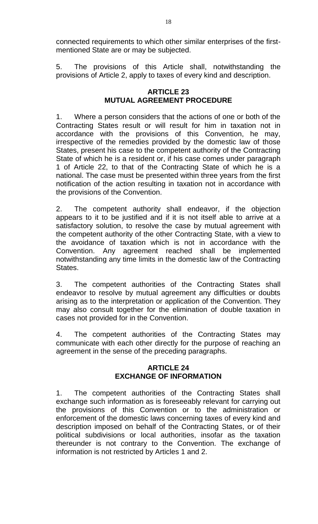connected requirements to which other similar enterprises of the firstmentioned State are or may be subjected.

5. The provisions of this Article shall, notwithstanding the provisions of Article 2, apply to taxes of every kind and description.

# **ARTICLE 23 MUTUAL AGREEMENT PROCEDURE**

1. Where a person considers that the actions of one or both of the Contracting States result or will result for him in taxation not in accordance with the provisions of this Convention, he may, irrespective of the remedies provided by the domestic law of those States, present his case to the competent authority of the Contracting State of which he is a resident or, if his case comes under paragraph 1 of Article 22, to that of the Contracting State of which he is a national. The case must be presented within three years from the first notification of the action resulting in taxation not in accordance with the provisions of the Convention.

2. The competent authority shall endeavor, if the objection appears to it to be justified and if it is not itself able to arrive at a satisfactory solution, to resolve the case by mutual agreement with the competent authority of the other Contracting State, with a view to the avoidance of taxation which is not in accordance with the Convention. Any agreement reached shall be implemented notwithstanding any time limits in the domestic law of the Contracting States.

3. The competent authorities of the Contracting States shall endeavor to resolve by mutual agreement any difficulties or doubts arising as to the interpretation or application of the Convention. They may also consult together for the elimination of double taxation in cases not provided for in the Convention.

4. The competent authorities of the Contracting States may communicate with each other directly for the purpose of reaching an agreement in the sense of the preceding paragraphs.

# **ARTICLE 24 EXCHANGE OF INFORMATION**

1. The competent authorities of the Contracting States shall exchange such information as is foreseeably relevant for carrying out the provisions of this Convention or to the administration or enforcement of the domestic laws concerning taxes of every kind and description imposed on behalf of the Contracting States, or of their political subdivisions or local authorities, insofar as the taxation thereunder is not contrary to the Convention. The exchange of information is not restricted by Articles 1 and 2.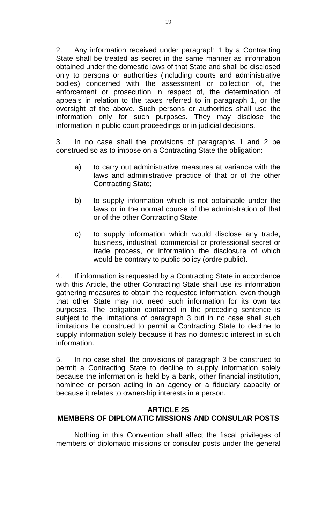2. Any information received under paragraph 1 by a Contracting State shall be treated as secret in the same manner as information obtained under the domestic laws of that State and shall be disclosed only to persons or authorities (including courts and administrative bodies) concerned with the assessment or collection of, the enforcement or prosecution in respect of, the determination of appeals in relation to the taxes referred to in paragraph 1, or the oversight of the above. Such persons or authorities shall use the information only for such purposes. They may disclose the information in public court proceedings or in judicial decisions.

3. In no case shall the provisions of paragraphs 1 and 2 be construed so as to impose on a Contracting State the obligation:

- a) to carry out administrative measures at variance with the laws and administrative practice of that or of the other Contracting State;
- b) to supply information which is not obtainable under the laws or in the normal course of the administration of that or of the other Contracting State;
- c) to supply information which would disclose any trade, business, industrial, commercial or professional secret or trade process, or information the disclosure of which would be contrary to public policy (ordre public).

4. If information is requested by a Contracting State in accordance with this Article, the other Contracting State shall use its information gathering measures to obtain the requested information, even though that other State may not need such information for its own tax purposes. The obligation contained in the preceding sentence is subject to the limitations of paragraph 3 but in no case shall such limitations be construed to permit a Contracting State to decline to supply information solely because it has no domestic interest in such information.

5. In no case shall the provisions of paragraph 3 be construed to permit a Contracting State to decline to supply information solely because the information is held by a bank, other financial institution, nominee or person acting in an agency or a fiduciary capacity or because it relates to ownership interests in a person.

# **ARTICLE 25 MEMBERS OF DIPLOMATIC MISSIONS AND CONSULAR POSTS**

Nothing in this Convention shall affect the fiscal privileges of members of diplomatic missions or consular posts under the general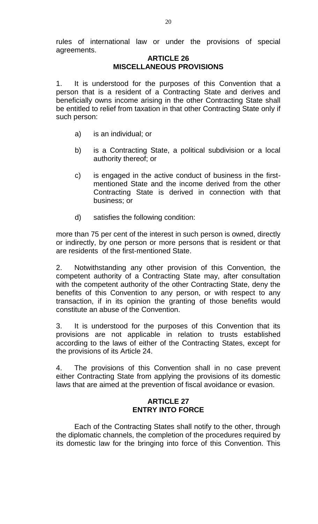rules of international law or under the provisions of special agreements.

#### **ARTICLE 26 MISCELLANEOUS PROVISIONS**

1. It is understood for the purposes of this Convention that a person that is a resident of a Contracting State and derives and beneficially owns income arising in the other Contracting State shall be entitled to relief from taxation in that other Contracting State only if such person:

- a) is an individual; or
- b) is a Contracting State, a political subdivision or a local authority thereof; or
- c) is engaged in the active conduct of business in the firstmentioned State and the income derived from the other Contracting State is derived in connection with that business; or
- d) satisfies the following condition:

more than 75 per cent of the interest in such person is owned, directly or indirectly, by one person or more persons that is resident or that are residents of the first-mentioned State.

2. Notwithstanding any other provision of this Convention, the competent authority of a Contracting State may, after consultation with the competent authority of the other Contracting State, deny the benefits of this Convention to any person, or with respect to any transaction, if in its opinion the granting of those benefits would constitute an abuse of the Convention.

3. It is understood for the purposes of this Convention that its provisions are not applicable in relation to trusts established according to the laws of either of the Contracting States, except for the provisions of its Article 24.

4. The provisions of this Convention shall in no case prevent either Contracting State from applying the provisions of its domestic laws that are aimed at the prevention of fiscal avoidance or evasion.

# **ARTICLE 27 ENTRY INTO FORCE**

Each of the Contracting States shall notify to the other, through the diplomatic channels, the completion of the procedures required by its domestic law for the bringing into force of this Convention. This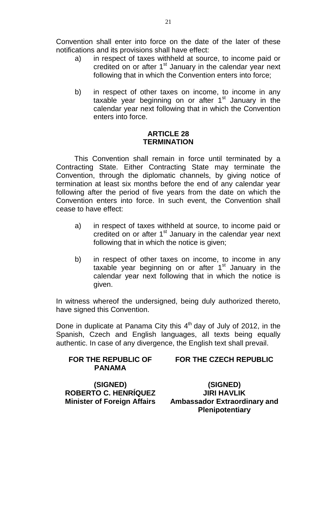Convention shall enter into force on the date of the later of these notifications and its provisions shall have effect:

- a) in respect of taxes withheld at source, to income paid or credited on or after 1<sup>st</sup> January in the calendar year next following that in which the Convention enters into force;
- b) in respect of other taxes on income, to income in any taxable year beginning on or after  $1<sup>st</sup>$  January in the calendar year next following that in which the Convention enters into force.

## **ARTICLE 28 TERMINATION**

This Convention shall remain in force until terminated by a Contracting State. Either Contracting State may terminate the Convention, through the diplomatic channels, by giving notice of termination at least six months before the end of any calendar year following after the period of five years from the date on which the Convention enters into force. In such event, the Convention shall cease to have effect:

- a) in respect of taxes withheld at source, to income paid or credited on or after 1<sup>st</sup> January in the calendar year next following that in which the notice is given;
- b) in respect of other taxes on income, to income in any taxable year beginning on or after  $1<sup>st</sup>$  January in the calendar year next following that in which the notice is given.

In witness whereof the undersigned, being duly authorized thereto, have signed this Convention.

Done in duplicate at Panama City this  $4<sup>th</sup>$  day of July of 2012, in the Spanish, Czech and English languages, all texts being equally authentic. In case of any divergence, the English text shall prevail.

#### **FOR THE REPUBLIC OF PANAMA**

# **FOR THE CZECH REPUBLIC**

**(SIGNED) ROBERTO C. HENRÍQUEZ Minister of Foreign Affairs** 

**(SIGNED) JIRI HAVLIK Ambassador Extraordinary and Plenipotentiary**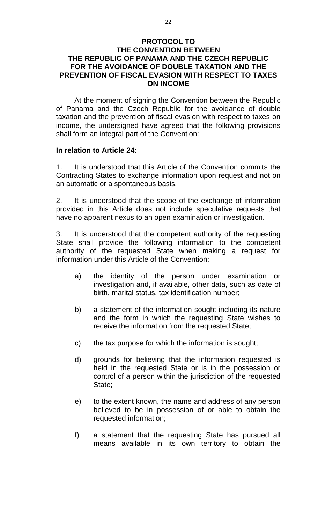## **PROTOCOL TO THE CONVENTION BETWEEN THE REPUBLIC OF PANAMA AND THE CZECH REPUBLIC FOR THE AVOIDANCE OF DOUBLE TAXATION AND THE PREVENTION OF FISCAL EVASION WITH RESPECT TO TAXES ON INCOME**

At the moment of signing the Convention between the Republic of Panama and the Czech Republic for the avoidance of double taxation and the prevention of fiscal evasion with respect to taxes on income, the undersigned have agreed that the following provisions shall form an integral part of the Convention:

#### **In relation to Article 24:**

1. It is understood that this Article of the Convention commits the Contracting States to exchange information upon request and not on an automatic or a spontaneous basis.

2. It is understood that the scope of the exchange of information provided in this Article does not include speculative requests that have no apparent nexus to an open examination or investigation.

3. It is understood that the competent authority of the requesting State shall provide the following information to the competent authority of the requested State when making a request for information under this Article of the Convention:

- a) the identity of the person under examination or investigation and, if available, other data, such as date of birth, marital status, tax identification number;
- b) a statement of the information sought including its nature and the form in which the requesting State wishes to receive the information from the requested State;
- c) the tax purpose for which the information is sought;
- d) grounds for believing that the information requested is held in the requested State or is in the possession or control of a person within the jurisdiction of the requested State;
- e) to the extent known, the name and address of any person believed to be in possession of or able to obtain the requested information;
- f) a statement that the requesting State has pursued all means available in its own territory to obtain the